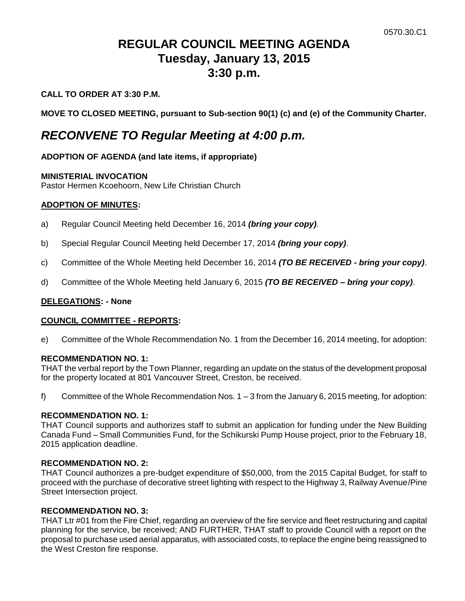# **REGULAR COUNCIL MEETING AGENDA Tuesday, January 13, 2015 3:30 p.m.**

# **CALL TO ORDER AT 3:30 P.M.**

**MOVE TO CLOSED MEETING, pursuant to Sub-section 90(1) (c) and (e) of the Community Charter.**

# *RECONVENE TO Regular Meeting at 4:00 p.m.*

# **ADOPTION OF AGENDA (and late items, if appropriate)**

## **MINISTERIAL INVOCATION**

Pastor Hermen Kcoehoorn, New Life Christian Church

## **ADOPTION OF MINUTES:**

- a) Regular Council Meeting held December 16, 2014 *(bring your copy)*.
- b) Special Regular Council Meeting held December 17, 2014 *(bring your copy)*.
- c) Committee of the Whole Meeting held December 16, 2014 *(TO BE RECEIVED - bring your copy)*.
- d) Committee of the Whole Meeting held January 6, 2015 *(TO BE RECEIVED – bring your copy)*.

### **DELEGATIONS: - None**

### **COUNCIL COMMITTEE - REPORTS:**

e) Committee of the Whole Recommendation No. 1 from the December 16, 2014 meeting, for adoption:

### **RECOMMENDATION NO. 1:**

THAT the verbal report by the Town Planner, regarding an update on the status of the development proposal for the property located at 801 Vancouver Street, Creston, be received.

f) Committee of the Whole Recommendation Nos. 1 – 3 from the January 6, 2015 meeting, for adoption:

### **RECOMMENDATION NO. 1:**

THAT Council supports and authorizes staff to submit an application for funding under the New Building Canada Fund – Small Communities Fund, for the Schikurski Pump House project, prior to the February 18, 2015 application deadline.

# **RECOMMENDATION NO. 2:**

THAT Council authorizes a pre-budget expenditure of \$50,000, from the 2015 Capital Budget, for staff to proceed with the purchase of decorative street lighting with respect to the Highway 3, Railway Avenue/Pine Street Intersection project.

### **RECOMMENDATION NO. 3:**

THAT Ltr #01 from the Fire Chief, regarding an overview of the fire service and fleet restructuring and capital planning for the service, be received; AND FURTHER, THAT staff to provide Council with a report on the proposal to purchase used aerial apparatus, with associated costs, to replace the engine being reassigned to the West Creston fire response.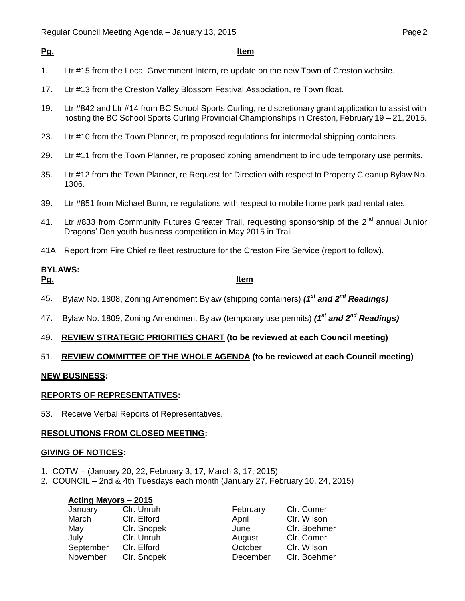## **Pg. Item**

- 1. Ltr #15 from the Local Government Intern, re update on the new Town of Creston website.
- 17. Ltr #13 from the Creston Valley Blossom Festival Association, re Town float.
- 19. Ltr #842 and Ltr #14 from BC School Sports Curling, re discretionary grant application to assist with hosting the BC School Sports Curling Provincial Championships in Creston, February 19 – 21, 2015.
- 23. Ltr #10 from the Town Planner, re proposed regulations for intermodal shipping containers.
- 29. Ltr #11 from the Town Planner, re proposed zoning amendment to include temporary use permits.
- 35. Ltr #12 from the Town Planner, re Request for Direction with respect to Property Cleanup Bylaw No. 1306.
- 39. Ltr #851 from Michael Bunn, re regulations with respect to mobile home park pad rental rates.
- 41. Ltr #833 from Community Futures Greater Trail, requesting sponsorship of the 2<sup>nd</sup> annual Junior Dragons' Den youth business competition in May 2015 in Trail.
- 41A Report from Fire Chief re fleet restructure for the Creston Fire Service (report to follow).

# **BYLAWS:**

## **Pg. Item**

- 45. Bylaw No. 1808, Zoning Amendment Bylaw (shipping containers) *(1st and 2nd Readings)*
- 47. Bylaw No. 1809, Zoning Amendment Bylaw (temporary use permits) *(1 st and 2nd Readings)*
- 49. **REVIEW STRATEGIC PRIORITIES CHART (to be reviewed at each Council meeting)**

# 51. **REVIEW COMMITTEE OF THE WHOLE AGENDA (to be reviewed at each Council meeting)**

# **NEW BUSINESS:**

# **REPORTS OF REPRESENTATIVES:**

53. Receive Verbal Reports of Representatives.

### **RESOLUTIONS FROM CLOSED MEETING:**

### **GIVING OF NOTICES:**

- 1. COTW (January 20, 22, February 3, 17, March 3, 17, 2015)
- 2. COUNCIL 2nd & 4th Tuesdays each month (January 27, February 10, 24, 2015)

| Acting Mayors - 2015 |             |          |              |
|----------------------|-------------|----------|--------------|
| January              | Clr. Unruh  | February | Clr. Comer   |
| March                | Clr. Elford | April    | Clr. Wilson  |
| May                  | Clr. Snopek | June     | Clr. Boehmer |
| July                 | Clr. Unruh  | August   | Clr. Comer   |
| September            | Clr. Elford | October  | Clr. Wilson  |
| November             | Clr. Snopek | December | Clr. Boehmer |